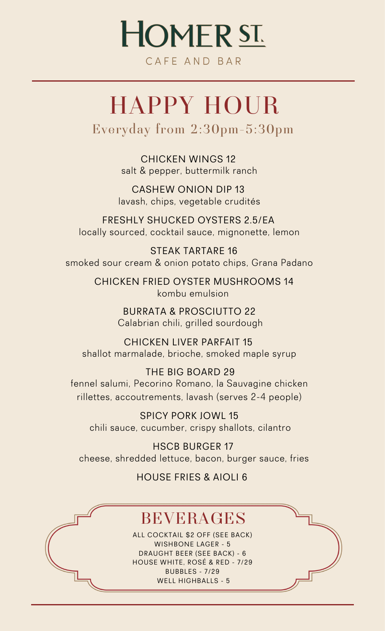# **HOMERST.**

CAFF AND BAR

# HAPPY HOUR

Everyday from 2:30pm-5:30pm

CHICKEN WINGS 12 salt & pepper, buttermilk ranch

CASHEW ONION DIP 13 lavash, chips, vegetable crudités

FRESHLY SHUCKED OYSTERS 2.5/EA locally sourced, cocktail sauce, mignonette, lemon

STEAK TARTARE 16 smoked sour cream & onion potato chips, Grana Padano

> CHICKEN FRIED OYSTER MUSHROOMS 14 kombu emulsion

> > BURRATA & PROSCIUTTO 22 Calabrian chili, grilled sourdough

CHICKEN LIVER PARFAIT 15 shallot marmalade, brioche, smoked maple syrup

THE BIG BOARD 29 fennel salumi, Pecorino Romano, la Sauvagine chicken rillettes, accoutrements, lavash (serves 2-4 people)

SPICY PORK JOWL 15 chili sauce, cucumber, crispy shallots, cilantro

HSCB BURGER 17 cheese, shredded lettuce, bacon, burger sauce, fries

HOUSE FRIES & AIOLI 6

## BEVERAGES

ALL COCKTAIL \$2 OFF (SEE BACK) WISHBONE LAGER - 5 DRAUGHT BEER (SEE BACK) - 6 HOUSE WHITE, ROSÉ & RED - 7/29 BUBBLES - 7/29 WELL HIGHBALLS - 5